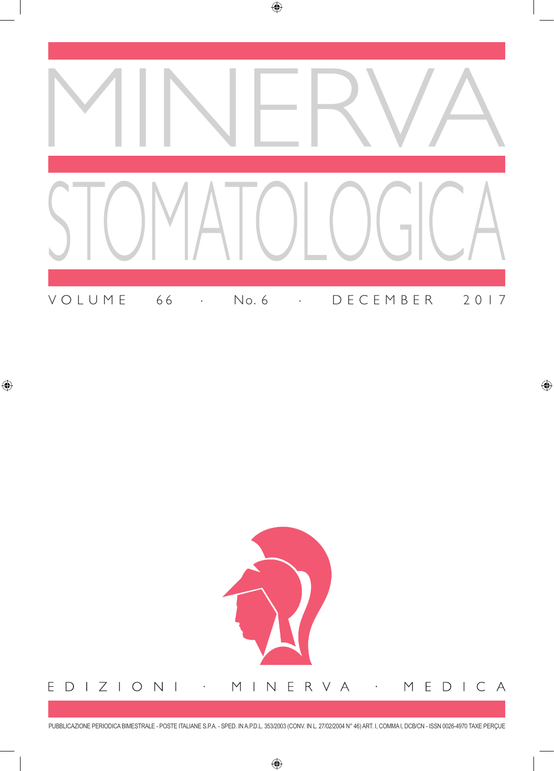



PUBBLICAZIONE PERIODICA BIMESTRALE - POSTE ITALIANE S.P.A. - SPED. IN A.P.D.L. 353/2003 (CONV. IN L. 27/02/2004 N° 46) ART. I, COMMA I, DCB/CN - ISSN 0026-4970 TAXE PERçUE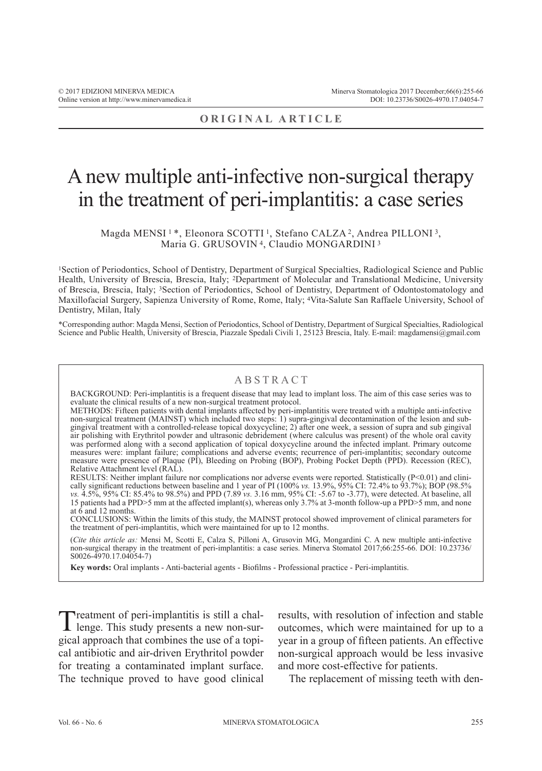# **ORIGINAL ARTICLE**

# A new multiple anti-infective non-surgical therapy in the treatment of peri-implantitis: a case series

#### Magda MENSI<sup>1</sup>\*, Eleonora SCOTTI<sup>1</sup>, Stefano CALZA<sup>2</sup>, Andrea PILLONI<sup>3</sup>, Maria G. GRUSOVIN 4, Claudio MONGARDINI <sup>3</sup>

1Section of Periodontics, School of Dentistry, Department of Surgical Specialties, Radiological Science and Public Health, University of Brescia, Brescia, Italy; 2Department of Molecular and Translational Medicine, University of Brescia, Brescia, Italy; 3Section of Periodontics, School of Dentistry, Department of Odontostomatology and Maxillofacial Surgery, Sapienza University of Rome, Rome, Italy; 4Vita-Salute San Raffaele University, School of Dentistry, Milan, Italy

\*Corresponding author: Magda Mensi, Section of Periodontics, School of Dentistry, Department of Surgical Specialties, Radiological Science and Public Health, University of Brescia, Piazzale Spedali Civili 1, 25123 Brescia, Italy. E-mail: magdamensi@gmail.com

### ABSTRACT

BACKGROUND: Peri-implantitis is a frequent disease that may lead to implant loss. The aim of this case series was to evaluate the clinical results of a new non-surgical treatment protocol.

METHODS: Fifteen patients with dental implants affected by peri-implantitis were treated with a multiple anti-infective non-surgical treatment (MAINST) which included two steps: 1) supra-gingival decontamination of the lesion and subgingival treatment with a controlled-release topical doxycycline; 2) after one week, a session of supra and sub gingival air polishing with Erythritol powder and ultrasonic debridement (where calculus was present) of the whole oral cavity was performed along with a second application of topical doxycycline around the infected implant. Primary outcome measures were: implant failure; complications and adverse events; recurrence of peri-implantitis; secondary outcome measure were presence of Plaque (PI), Bleeding on Probing (BOP), Probing Pocket Depth (PPD). Recession (REC), Relative Attachment level (RAL).

RESULTS: Neither implant failure nor complications nor adverse events were reported. Statistically (P<0.01) and clinically significant reductions between baseline and 1 year of PI (100% *vs.* 13.9%, 95% CI: 72.4% to 93.7%); BOP (98.5% *vs.* 4.5%, 95% CI: 85.4% to 98.5%) and PPD (7.89 *vs.* 3.16 mm, 95% CI: -5.67 to -3.77), were detected. At baseline, all 15 patients had a PPD>5 mm at the affected implant(s), whereas only 3.7% at 3-month follow-up a PPD>5 mm, and none at  $\dot{6}$  and 12 months.

CONCLUSIONS: Within the limits of this study, the MAINST protocol showed improvement of clinical parameters for the treatment of peri-implantitis, which were maintained for up to 12 months.

(*Cite this article as:* Mensi M, Scotti E, Calza S, Pilloni A, Grusovin MG, Mongardini C. A new multiple anti-infective non-surgical therapy in the treatment of peri-implantitis: a case series. Minerva Stomatol 2017;66:255-66. DOI: 10.23736/ S0026-4970.17.04054-7)

**Key words:** Oral implants - Anti-bacterial agents - Biofilms - Professional practice - Peri-implantitis.

Treatment of peri-implantitis is still a chal-<br>lenge. This study presents a new non-surgical approach that combines the use of a topical antibiotic and air-driven Erythritol powder for treating a contaminated implant surface. The technique proved to have good clinical results, with resolution of infection and stable outcomes, which were maintained for up to a year in a group of fifteen patients. An effective non-surgical approach would be less invasive and more cost-effective for patients.

The replacement of missing teeth with den-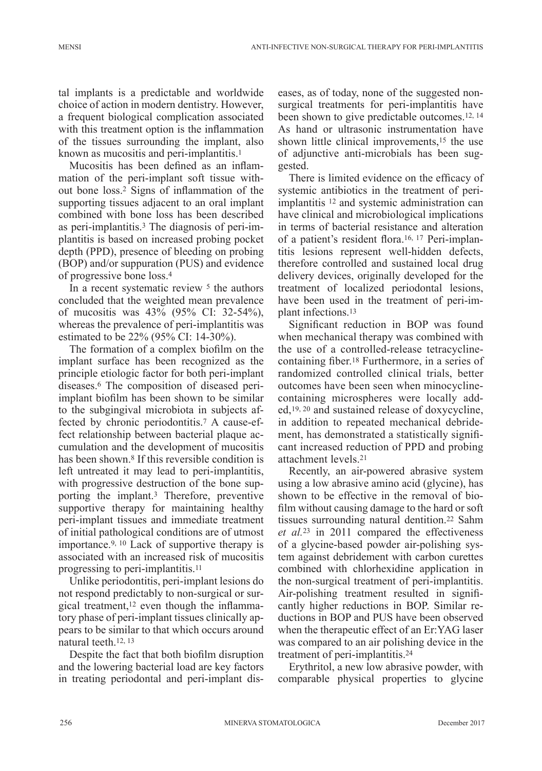tal implants is a predictable and worldwide choice of action in modern dentistry. However, a frequent biological complication associated with this treatment option is the inflammation of the tissues surrounding the implant, also known as mucositis and peri-implantitis.<sup>1</sup>

Mucositis has been defined as an inflammation of the peri-implant soft tissue without bone loss.2 Signs of inflammation of the supporting tissues adjacent to an oral implant combined with bone loss has been described as peri-implantitis.3 The diagnosis of peri-implantitis is based on increased probing pocket depth (PPD), presence of bleeding on probing (BOP) and/or suppuration (PUS) and evidence of progressive bone loss.<sup>4</sup>

In a recent systematic review <sup>5</sup> the authors concluded that the weighted mean prevalence of mucositis was 43% (95% CI: 32-54%), whereas the prevalence of peri-implantitis was estimated to be 22% (95% CI: 14-30%).

The formation of a complex biofilm on the implant surface has been recognized as the principle etiologic factor for both peri-implant diseases.6 The composition of diseased periimplant biofilm has been shown to be similar to the subgingival microbiota in subjects affected by chronic periodontitis.7 A cause-effect relationship between bacterial plaque accumulation and the development of mucositis has been shown.<sup>8</sup> If this reversible condition is left untreated it may lead to peri-implantitis, with progressive destruction of the bone supporting the implant.3 Therefore, preventive supportive therapy for maintaining healthy peri-implant tissues and immediate treatment of initial pathological conditions are of utmost importance.9, <sup>10</sup> Lack of supportive therapy is associated with an increased risk of mucositis progressing to peri-implantitis.11

Unlike periodontitis, peri-implant lesions do not respond predictably to non-surgical or surgical treatment,12 even though the inflammatory phase of peri-implant tissues clinically appears to be similar to that which occurs around natural teeth.12, <sup>13</sup>

Despite the fact that both biofilm disruption and the lowering bacterial load are key factors in treating periodontal and peri-implant diseases, as of today, none of the suggested nonsurgical treatments for peri-implantitis have been shown to give predictable outcomes.12, <sup>14</sup> As hand or ultrasonic instrumentation have shown little clinical improvements,15 the use of adjunctive anti-microbials has been suggested.

There is limited evidence on the efficacy of systemic antibiotics in the treatment of periimplantitis 12 and systemic administration can have clinical and microbiological implications in terms of bacterial resistance and alteration of a patient's resident flora.16, 17 Peri-implantitis lesions represent well-hidden defects, therefore controlled and sustained local drug delivery devices, originally developed for the treatment of localized periodontal lesions, have been used in the treatment of peri-implant infections.13

Significant reduction in BOP was found when mechanical therapy was combined with the use of a controlled-release tetracyclinecontaining fiber.18 Furthermore, in a series of randomized controlled clinical trials, better outcomes have been seen when minocyclinecontaining microspheres were locally added,19, 20 and sustained release of doxycycline, in addition to repeated mechanical debridement, has demonstrated a statistically significant increased reduction of PPD and probing attachment levels.<sup>21</sup>

Recently, an air-powered abrasive system using a low abrasive amino acid (glycine), has shown to be effective in the removal of biofilm without causing damage to the hard or soft tissues surrounding natural dentition.22 Sahm *et al.*23 in 2011 compared the effectiveness of a glycine-based powder air-polishing system against debridement with carbon curettes combined with chlorhexidine application in the non-surgical treatment of peri-implantitis. Air-polishing treatment resulted in significantly higher reductions in BOP. Similar reductions in BOP and PUS have been observed when the therapeutic effect of an Er:YAG laser was compared to an air polishing device in the treatment of peri-implantitis.24

Erythritol, a new low abrasive powder, with comparable physical properties to glycine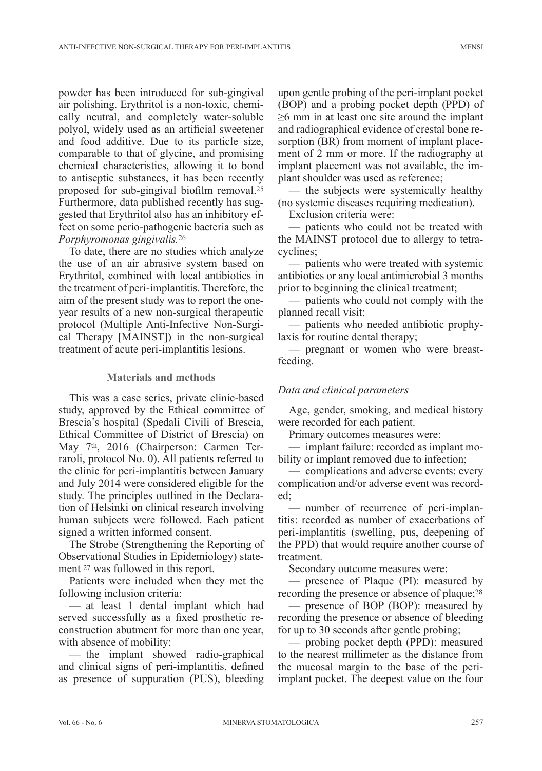powder has been introduced for sub-gingival air polishing. Erythritol is a non-toxic, chemically neutral, and completely water-soluble polyol, widely used as an artificial sweetener and food additive. Due to its particle size, comparable to that of glycine, and promising chemical characteristics, allowing it to bond to antiseptic substances, it has been recently proposed for sub-gingival biofilm removal.<sup>25</sup> Furthermore, data published recently has suggested that Erythritol also has an inhibitory effect on some perio-pathogenic bacteria such as *Porphyromonas gingivalis.*<sup>26</sup>

To date, there are no studies which analyze the use of an air abrasive system based on Erythritol, combined with local antibiotics in the treatment of peri-implantitis. Therefore, the aim of the present study was to report the oneyear results of a new non-surgical therapeutic protocol (Multiple Anti-Infective Non-Surgical Therapy [MAINST]) in the non-surgical treatment of acute peri-implantitis lesions.

### **Materials and methods**

This was a case series, private clinic-based study, approved by the Ethical committee of Brescia's hospital (Spedali Civili of Brescia, Ethical Committee of District of Brescia) on May 7th, 2016 (Chairperson: Carmen Terraroli, protocol No. 0). All patients referred to the clinic for peri-implantitis between January and July 2014 were considered eligible for the study. The principles outlined in the Declaration of Helsinki on clinical research involving human subjects were followed. Each patient signed a written informed consent.

The Strobe (Strengthening the Reporting of Observational Studies in Epidemiology) statement 27 was followed in this report.

Patients were included when they met the following inclusion criteria:

— at least 1 dental implant which had served successfully as a fixed prosthetic reconstruction abutment for more than one year, with absence of mobility;

— the implant showed radio-graphical and clinical signs of peri-implantitis, defined as presence of suppuration (PUS), bleeding upon gentle probing of the peri-implant pocket (BOP) and a probing pocket depth (PPD) of ≥6 mm in at least one site around the implant and radiographical evidence of crestal bone resorption (BR) from moment of implant placement of 2 mm or more. If the radiography at implant placement was not available, the implant shoulder was used as reference;

— the subjects were systemically healthy (no systemic diseases requiring medication).

Exclusion criteria were:

— patients who could not be treated with the MAINST protocol due to allergy to tetracyclines;

— patients who were treated with systemic antibiotics or any local antimicrobial 3 months prior to beginning the clinical treatment;

— patients who could not comply with the planned recall visit;

— patients who needed antibiotic prophylaxis for routine dental therapy;

— pregnant or women who were breastfeeding.

# *Data and clinical parameters*

Age, gender, smoking, and medical history were recorded for each patient.

Primary outcomes measures were:

— implant failure: recorded as implant mobility or implant removed due to infection;

— complications and adverse events: every complication and/or adverse event was recorded;

— number of recurrence of peri-implantitis: recorded as number of exacerbations of peri-implantitis (swelling, pus, deepening of the PPD) that would require another course of treatment.

Secondary outcome measures were:

— presence of Plaque (PI): measured by recording the presence or absence of plaque;28

— presence of BOP (BOP): measured by recording the presence or absence of bleeding for up to 30 seconds after gentle probing;

— probing pocket depth (PPD): measured to the nearest millimeter as the distance from the mucosal margin to the base of the periimplant pocket. The deepest value on the four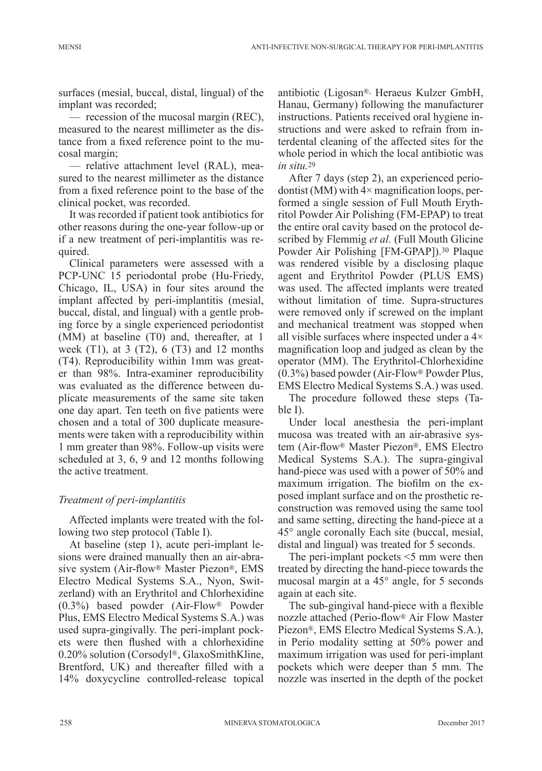surfaces (mesial, buccal, distal, lingual) of the implant was recorded;

— recession of the mucosal margin (REC), measured to the nearest millimeter as the distance from a fixed reference point to the mucosal margin;

— relative attachment level (RAL), measured to the nearest millimeter as the distance from a fixed reference point to the base of the clinical pocket, was recorded.

It was recorded if patient took antibiotics for other reasons during the one-year follow-up or if a new treatment of peri-implantitis was required.

Clinical parameters were assessed with a PCP-UNC 15 periodontal probe (Hu-Friedy, Chicago, IL, USA) in four sites around the implant affected by peri-implantitis (mesial, buccal, distal, and lingual) with a gentle probing force by a single experienced periodontist (MM) at baseline (T0) and, thereafter, at 1 week  $(T1)$ , at 3  $(T2)$ , 6  $(T3)$  and 12 months (T4). Reproducibility within 1mm was greater than 98%. Intra-examiner reproducibility was evaluated as the difference between duplicate measurements of the same site taken one day apart. Ten teeth on five patients were chosen and a total of 300 duplicate measurements were taken with a reproducibility within 1 mm greater than 98%. Follow-up visits were scheduled at 3, 6, 9 and 12 months following the active treatment.

### *Treatment of peri-implantitis*

Affected implants were treated with the following two step protocol (Table I).

At baseline (step 1), acute peri-implant lesions were drained manually then an air-abrasive system (Air-flow® Master Piezon®, EMS Electro Medical Systems S.A., Nyon, Switzerland) with an Erythritol and Chlorhexidine (0.3%) based powder (Air-Flow® Powder Plus, EMS Electro Medical Systems S.A.) was used supra-gingivally. The peri-implant pockets were then flushed with a chlorhexidine 0.20% solution (Corsodyl®, GlaxoSmithKline, Brentford, UK) and thereafter filled with a 14% doxycycline controlled-release topical

antibiotic (Ligosan®, Heraeus Kulzer GmbH, Hanau, Germany) following the manufacturer instructions. Patients received oral hygiene instructions and were asked to refrain from interdental cleaning of the affected sites for the whole period in which the local antibiotic was *in situ.*<sup>29</sup>

After 7 days (step 2), an experienced periodontist (MM) with  $4\times$  magnification loops, performed a single session of Full Mouth Erythritol Powder Air Polishing (FM-EPAP) to treat the entire oral cavity based on the protocol described by Flemmig *et al.* (Full Mouth Glicine Powder Air Polishing [FM-GPAP]).30 Plaque was rendered visible by a disclosing plaque agent and Erythritol Powder (PLUS EMS) was used. The affected implants were treated without limitation of time. Supra-structures were removed only if screwed on the implant and mechanical treatment was stopped when all visible surfaces where inspected under a 4× magnification loop and judged as clean by the operator (MM). The Erythritol-Chlorhexidine (0.3%) based powder (Air-Flow® Powder Plus, EMS Electro Medical Systems S.A.) was used.

The procedure followed these steps (Table I).

Under local anesthesia the peri-implant mucosa was treated with an air-abrasive system (Air-flow® Master Piezon®, EMS Electro Medical Systems S.A.). The supra-gingival hand-piece was used with a power of 50% and maximum irrigation. The biofilm on the exposed implant surface and on the prosthetic reconstruction was removed using the same tool and same setting, directing the hand-piece at a 45° angle coronally Each site (buccal, mesial, distal and lingual) was treated for 5 seconds.

The peri-implant pockets <5 mm were then treated by directing the hand-piece towards the mucosal margin at a 45° angle, for 5 seconds again at each site.

The sub-gingival hand-piece with a flexible nozzle attached (Perio-flow® Air Flow Master Piezon®, EMS Electro Medical Systems S.A.), in Perio modality setting at 50% power and maximum irrigation was used for peri-implant pockets which were deeper than 5 mm. The nozzle was inserted in the depth of the pocket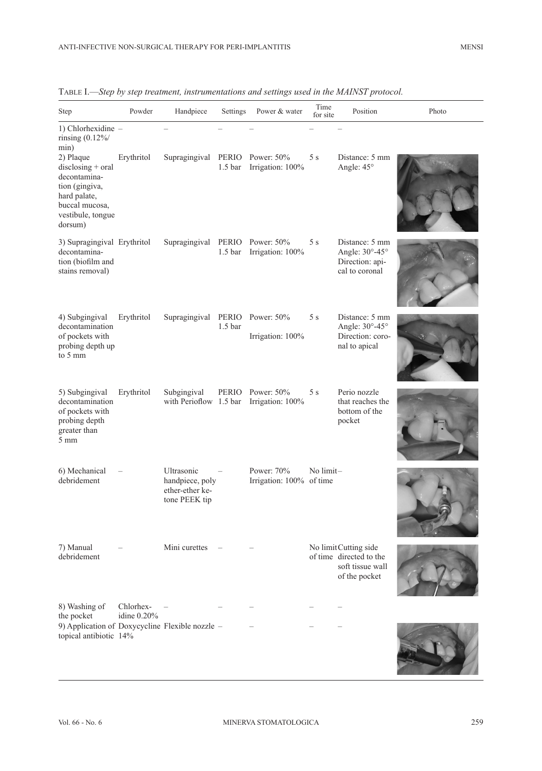| <b>Step</b>                                                                                                                                                                              | Powder                   | Handpiece                                                         | Settings                    | Power & water                          | Time<br>for site | Position                                                                             | Photo |
|------------------------------------------------------------------------------------------------------------------------------------------------------------------------------------------|--------------------------|-------------------------------------------------------------------|-----------------------------|----------------------------------------|------------------|--------------------------------------------------------------------------------------|-------|
| 1) Chlorhexidine -<br>rinsing $(0.12\%/$<br>min)<br>2) Plaque<br>$disclosing + oral$<br>decontamina-<br>tion (gingiva,<br>hard palate,<br>buccal mucosa,<br>vestibule, tongue<br>dorsum) | Erythritol               | Supragingival                                                     | 1.5 <sub>bar</sub>          | PERIO Power: 50%<br>Irrigation: 100%   | 5 s              | Distance: 5 mm<br>Angle: 45°                                                         |       |
| 3) Supragingival Erythritol<br>decontamina-<br>tion (biofilm and<br>stains removal)                                                                                                      |                          | Supragingival                                                     | PERIO<br>1.5 <sub>bar</sub> | Power: 50%<br>Irrigation: 100%         | 5 s              | Distance: 5 mm<br>Angle: 30°-45°<br>Direction: api-<br>cal to coronal                |       |
| 4) Subgingival<br>decontamination<br>of pockets with<br>probing depth up<br>to 5 mm                                                                                                      | Erythritol               | Supragingival                                                     | PERIO<br>1.5 <sub>bar</sub> | Power: 50%<br>Irrigation: 100%         | 5s               | Distance: 5 mm<br>Angle: 30°-45°<br>Direction: coro-<br>nal to apical                |       |
| 5) Subgingival<br>decontamination<br>of pockets with<br>probing depth<br>greater than<br>$5 \text{ mm}$                                                                                  | Erythritol               | Subgingival<br>with Perioflow 1.5 bar                             |                             | PERIO Power: 50%<br>Irrigation: 100%   | 5s               | Perio nozzle<br>that reaches the<br>bottom of the<br>pocket                          |       |
| 6) Mechanical<br>debridement                                                                                                                                                             |                          | Ultrasonic<br>handpiece, poly<br>ether-ether ke-<br>tone PEEK tip |                             | Power: 70%<br>Irrigation: 100% of time | No limit-        |                                                                                      |       |
| 7) Manual<br>debridement                                                                                                                                                                 |                          | Mini curettes                                                     |                             |                                        |                  | No limitCutting side<br>of time directed to the<br>soft tissue wall<br>of the pocket |       |
| 8) Washing of<br>the pocket                                                                                                                                                              | Chlorhex-<br>idine 0.20% |                                                                   |                             |                                        |                  |                                                                                      |       |
| 9) Application of Doxycycline Flexible nozzle -<br>topical antibiotic 14%                                                                                                                |                          |                                                                   |                             |                                        |                  |                                                                                      |       |

Table I.—*Step by step treatment, instrumentations and settings used in the MAINST protocol.*

The Common States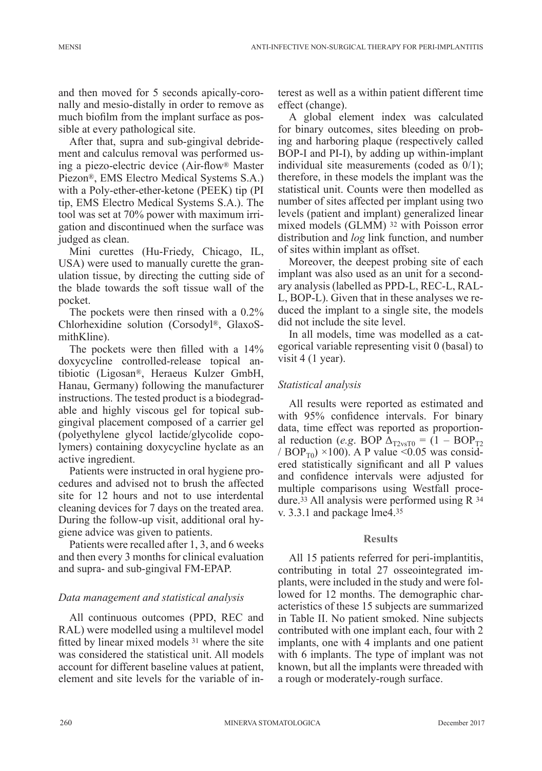and then moved for 5 seconds apically-coronally and mesio-distally in order to remove as much biofilm from the implant surface as possible at every pathological site.

After that, supra and sub-gingival debridement and calculus removal was performed using a piezo-electric device (Air-flow® Master Piezon®, EMS Electro Medical Systems S.A.) with a Poly-ether-ether-ketone (PEEK) tip (PI tip, EMS Electro Medical Systems S.A.). The tool was set at 70% power with maximum irrigation and discontinued when the surface was judged as clean.

Mini curettes (Hu-Friedy, Chicago, IL, USA) were used to manually curette the granulation tissue, by directing the cutting side of the blade towards the soft tissue wall of the pocket.

The pockets were then rinsed with a 0.2% Chlorhexidine solution (Corsodyl®, GlaxoSmithKline).

The pockets were then filled with a 14% doxycycline controlled-release topical antibiotic (Ligosan®, Heraeus Kulzer GmbH, Hanau, Germany) following the manufacturer instructions. The tested product is a biodegradable and highly viscous gel for topical subgingival placement composed of a carrier gel (polyethylene glycol lactide/glycolide copolymers) containing doxycycline hyclate as an active ingredient.

Patients were instructed in oral hygiene procedures and advised not to brush the affected site for 12 hours and not to use interdental cleaning devices for 7 days on the treated area. During the follow-up visit, additional oral hygiene advice was given to patients.

Patients were recalled after 1, 3, and 6 weeks and then every 3 months for clinical evaluation and supra- and sub-gingival FM-EPAP.

### *Data management and statistical analysis*

All continuous outcomes (PPD, REC and RAL) were modelled using a multilevel model fitted by linear mixed models 31 where the site was considered the statistical unit. All models account for different baseline values at patient, element and site levels for the variable of interest as well as a within patient different time effect (change).

A global element index was calculated for binary outcomes, sites bleeding on probing and harboring plaque (respectively called BOP-I and PI-I), by adding up within-implant individual site measurements (coded as 0/1); therefore, in these models the implant was the statistical unit. Counts were then modelled as number of sites affected per implant using two levels (patient and implant) generalized linear mixed models (GLMM) 32 with Poisson error distribution and *log* link function, and number of sites within implant as offset.

Moreover, the deepest probing site of each implant was also used as an unit for a secondary analysis (labelled as PPD-L, REC-L, RAL-L, BOP-L). Given that in these analyses we reduced the implant to a single site, the models did not include the site level.

In all models, time was modelled as a categorical variable representing visit 0 (basal) to visit 4 (1 year).

### *Statistical analysis*

All results were reported as estimated and with 95% confidence intervals. For binary data, time effect was reported as proportional reduction (*e.g.* BOP  $\Delta_{\text{T2vsT0}} = (1 - BOP_{\text{T2}})$ / BOP<sub>T0</sub>) ×100). A P value <0.05 was considered statistically significant and all P values and confidence intervals were adjusted for multiple comparisons using Westfall procedure.33 All analysis were performed using R 34 v. 3.3.1 and package lme4.<sup>35</sup>

### **Results**

All 15 patients referred for peri-implantitis, contributing in total 27 osseointegrated implants, were included in the study and were followed for 12 months. The demographic characteristics of these 15 subjects are summarized in Table II. No patient smoked. Nine subjects contributed with one implant each, four with 2 implants, one with 4 implants and one patient with 6 implants. The type of implant was not known, but all the implants were threaded with a rough or moderately-rough surface.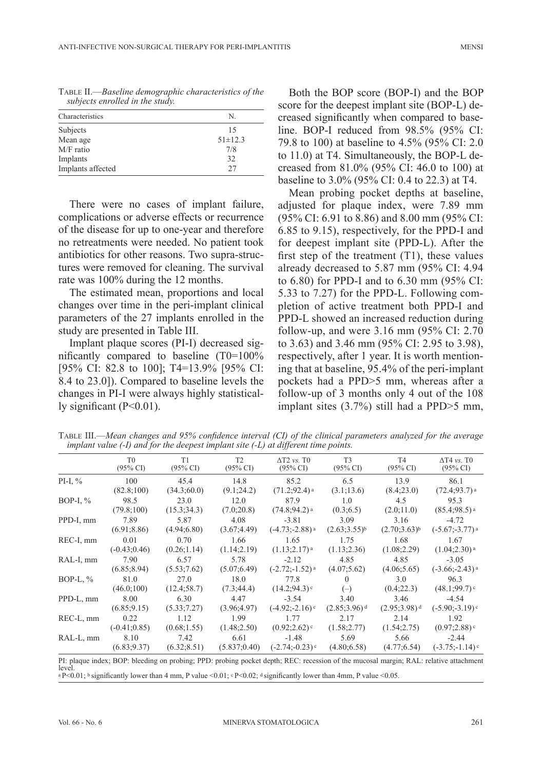| Characteristics   | N.            |  |  |  |
|-------------------|---------------|--|--|--|
| Subjects          | 15            |  |  |  |
| Mean age          | $51 \pm 12.3$ |  |  |  |
| M/F ratio         | 7/8           |  |  |  |
| Implants          | 32            |  |  |  |
| Implants affected | 27            |  |  |  |
|                   |               |  |  |  |

Table II.—*Baseline demographic characteristics of the subjects enrolled in the study.*

There were no cases of implant failure, complications or adverse effects or recurrence of the disease for up to one-year and therefore no retreatments were needed. No patient took antibiotics for other reasons. Two supra-structures were removed for cleaning. The survival rate was 100% during the 12 months.

The estimated mean, proportions and local changes over time in the peri-implant clinical parameters of the 27 implants enrolled in the study are presented in Table III.

Implant plaque scores (PI-I) decreased significantly compared to baseline (T0=100% [95% CI: 82.8 to 100]; T4=13.9% [95% CI: 8.4 to 23.0]). Compared to baseline levels the changes in PI-I were always highly statistically significant  $(P<0.01)$ .

Both the BOP score (BOP-I) and the BOP score for the deepest implant site (BOP-L) decreased significantly when compared to baseline. BOP-I reduced from 98.5% (95% CI: 79.8 to 100) at baseline to 4.5% (95% CI: 2.0 to 11.0) at T4. Simultaneously, the BOP-L decreased from 81.0% (95% CI: 46.0 to 100) at baseline to 3.0% (95% CI: 0.4 to 22.3) at T4.

Mean probing pocket depths at baseline, adjusted for plaque index, were 7.89 mm (95% CI: 6.91 to 8.86) and 8.00 mm (95% CI: 6.85 to 9.15), respectively, for the PPD-I and for deepest implant site (PPD-L). After the first step of the treatment  $(T1)$ , these values already decreased to 5.87 mm (95% CI: 4.94 to 6.80) for PPD-I and to 6.30 mm (95% CI: 5.33 to 7.27) for the PPD-L. Following completion of active treatment both PPD-I and PPD-L showed an increased reduction during follow-up, and were 3.16 mm (95% CI: 2.70 to 3.63) and 3.46 mm (95% CI: 2.95 to 3.98), respectively, after 1 year. It is worth mentioning that at baseline, 95.4% of the peri-implant pockets had a PPD>5 mm, whereas after a follow-up of 3 months only 4 out of the 108 implant sites (3.7%) still had a PPD>5 mm,

Table III.—*Mean changes and 95% confidence interval (CI) of the clinical parameters analyzed for the average implant value (-I) and for the deepest implant site (-L) at different time points.*

|             | T <sub>0</sub><br>$(95\% \text{ CI})$ | T1<br>$(95\% \text{ CI})$ | T <sub>2</sub><br>$(95\% \text{ CI})$ | $\Delta$ T2 vs. T $\theta$<br>$(95\% \text{ CI})$ | T <sub>3</sub><br>$(95\% \text{ CI})$ | T <sub>4</sub><br>$(95\% \text{ CI})$ | $\Delta T4$ vs. TO<br>$(95\% \text{ CI})$ |
|-------------|---------------------------------------|---------------------------|---------------------------------------|---------------------------------------------------|---------------------------------------|---------------------------------------|-------------------------------------------|
| PI-I, $\%$  | 100                                   | 45.4                      | 14.8                                  | 85.2                                              | 6.5                                   | 13.9                                  | 86.1                                      |
|             | (82.8;100)                            | (34.3;60.0)               | (9.1;24.2)                            | $(71.2; 92.4)$ <sup>a</sup>                       | (3.1;13.6)                            | (8.4;23.0)                            | $(72.4; 93.7)$ <sup>a</sup>               |
| BOP-I, $\%$ | 98.5                                  | 23.0                      | 12.0                                  | 87.9                                              | 1.0                                   | 4.5                                   | 95.3                                      |
|             | (79.8;100)                            | (15.3; 34.3)              | (7.0;20.8)                            | $(74.8; 94.2)$ <sup>a</sup>                       | (0.3; 6.5)                            | (2.0;11.0)                            | $(85.4;98.5)$ <sup>a</sup>                |
| PPD-I, mm   | 7.89                                  | 5.87                      | 4.08                                  | $-3.81$                                           | 3.09                                  | 3.16                                  | $-4.72$                                   |
|             | (6.91; 8.86)                          | (4.94; 6.80)              | (3.67; 4.49)                          | $(-4.73,-2.88)$ <sup>a</sup>                      | $(2.63; 3.55)^{b}$                    | $(2.70; 3.63)^{b}$                    | $(-5.67, -3.77)$ <sup>a</sup>             |
| REC-I, mm   | 0.01                                  | 0.70                      | 1.66                                  | 1.65                                              | 1.75                                  | 1.68                                  | 1.67                                      |
|             | $(-0.43;0.46)$                        | (0.26;1.14)               | (1.14; 2.19)                          | $(1.13; 2.17)$ <sup>a</sup>                       | (1.13; 2.36)                          | (1.08; 2.29)                          | $(1.04;2.30)$ <sup>a</sup>                |
| RAL-I, mm   | 7.90                                  | 6.57                      | 5.78                                  | $-2.12$                                           | 4.85                                  | 4.85                                  | $-3.05$                                   |
|             | (6.85; 8.94)                          | (5.53;7.62)               | (5.07; 6.49)                          | $(-2.72; -1.52)$ <sup>a</sup>                     | (4.07; 5.62)                          | (4.06; 5.65)                          | $(-3.66,-2.43)$ <sup>a</sup>              |
| BOP-L, $\%$ | 81.0                                  | 27.0                      | 18.0                                  | 77.8                                              | $\Omega$                              | 3.0                                   | 96.3                                      |
|             | (46.0;100)                            | (12.4; 58.7)              | (7.3; 44.4)                           | (14.2; 94.3)                                      | $(-)$                                 | (0.4;22.3)                            | (48.1;99.7)                               |
| PPD-L, mm   | 8.00                                  | 6.30                      | 4.47                                  | $-3.54$                                           | 3.40                                  | 3.46                                  | $-4.54$                                   |
|             | (6.85; 9.15)                          | (5.33;7.27)               | (3.96; 4.97)                          | $(-4.92,-2.16)$                                   | $(2.85; 3.96)$ <sup>d</sup>           | $(2.95; 3.98)$ <sup>d</sup>           | $(-5.90,-3.19)$                           |
| REC-L, mm   | 0.22                                  | 1.12                      | 1.99                                  | 1.77                                              | 2.17                                  | 2.14                                  | 1.92                                      |
|             | $(-0.41; 0.85)$                       | (0.68;1.55)               | (1.48; 2.50)                          | (0.92; 2.62)                                      | (1.58; 2.77)                          | (1.54; 2.75)                          | (0.97;2.88)                               |
| RAL-L, mm   | 8.10                                  | 7.42                      | 6.61                                  | $-1.48$                                           | 5.69                                  | 5.66                                  | $-2.44$                                   |
|             | (6.83; 9.37)                          | (6.32; 8.51)              | (5.837; 0.40)                         | $(-2.74; -0.23)$                                  | (4.80; 6.58)                          | (4.77; 6.54)                          | $(-3.75,-1.14)$                           |

level. <sup>a</sup> P<0.01; <sup>b</sup> significantly lower than 4 mm, P value <0.01; <sup>c</sup> P<0.02; <sup>d</sup> significantly lower than 4mm, P value <0.05.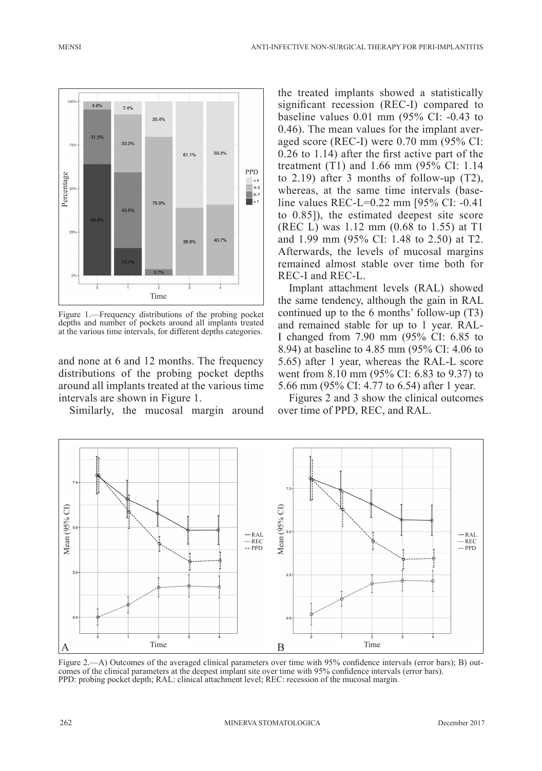

Figure 1.—Frequency distributions of the probing pocket depths and number of pockets around all implants treated at the various time intervals, for different depths categories.

and none at 6 and 12 months. The frequency distributions of the probing pocket depths around all implants treated at the various time intervals are shown in Figure 1.

Similarly, the mucosal margin around

the treated implants showed a statistically significant recession (REC-I) compared to baseline values 0.01 mm (95% CI: -0.43 to 0.46). The mean values for the implant averaged score (REC-I) were 0.70 mm (95% CI: 0.26 to 1.14) after the first active part of the treatment (T1) and 1.66 mm (95% CI: 1.14 to 2.19) after 3 months of follow-up (T2), whereas, at the same time intervals (baseline values REC-L=0.22 mm [95% CI: -0.41 to 0.85]), the estimated deepest site score (REC L) was 1.12 mm (0.68 to 1.55) at T1 and 1.99 mm (95% CI: 1.48 to 2.50) at T2. Afterwards, the levels of mucosal margins remained almost stable over time both for REC-I and REC-L.

Implant attachment levels (RAL) showed the same tendency, although the gain in RAL continued up to the 6 months' follow-up (T3) and remained stable for up to 1 year. RAL-I changed from 7.90 mm (95% CI: 6.85 to 8.94) at baseline to 4.85 mm (95% CI: 4.06 to 5.65) after 1 year, whereas the RAL-L score went from 8.10 mm (95% CI: 6.83 to 9.37) to 5.66 mm (95% CI: 4.77 to 6.54) after 1 year.

Figures 2 and 3 show the clinical outcomes over time of PPD, REC, and RAL.



Figure 2.—A) Outcomes of the averaged clinical parameters over time with 95% confidence intervals (error bars); B) outcomes of the clinical parameters at the deepest implant site over time with 95% confidence intervals (error bars). PPD: probing pocket depth; RAL: clinical attachment level; REC: recession of the mucosal margin.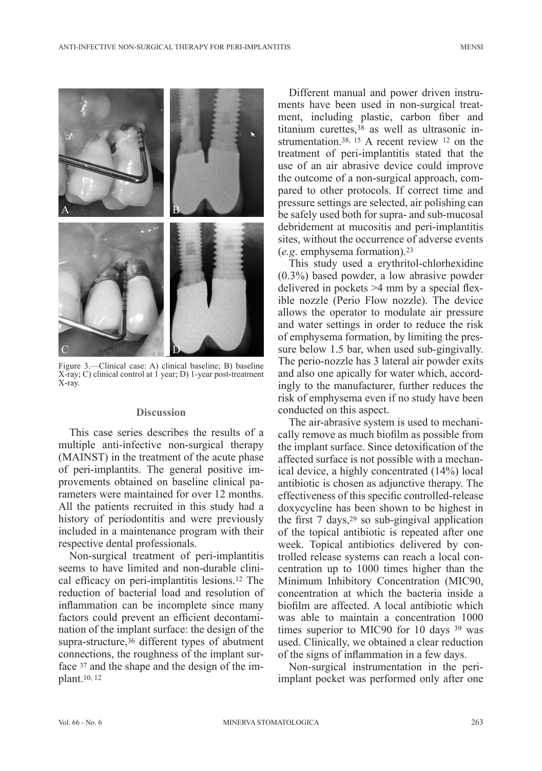ANTI-INFECTIVE NON-SURGICAL THERAPY FOR PERI-IMPLANTITIS MENSI



Figure 3.—Clinical case: A) clinical baseline; B) baseline X-ray; C) clinical control at 1 year; D) 1-year post-treatment X-ray.

#### **Discussion**

This case series describes the results of a multiple anti-infective non-surgical therapy (MAINST) in the treatment of the acute phase of peri-implantits. The general positive improvements obtained on baseline clinical parameters were maintained for over 12 months. All the patients recruited in this study had a history of periodontitis and were previously included in a maintenance program with their respective dental professionals.

Non-surgical treatment of peri-implantitis seems to have limited and non-durable clinical efficacy on peri-implantitis lesions.<sup>12</sup> The reduction of bacterial load and resolution of inflammation can be incomplete since many factors could prevent an efficient decontamination of the implant surface: the design of the supra-structure,<sup>36</sup> different types of abutment connections, the roughness of the implant surface 37 and the shape and the design of the implant.10, <sup>12</sup>

Different manual and power driven instruments have been used in non-surgical treatment, including plastic, carbon fiber and titanium curettes,38 as well as ultrasonic instrumentation.38, 15 A recent review 12 on the treatment of peri-implantitis stated that the use of an air abrasive device could improve the outcome of a non-surgical approach, compared to other protocols. If correct time and pressure settings are selected, air polishing can be safely used both for supra- and sub-mucosal debridement at mucositis and peri-implantitis sites, without the occurrence of adverse events (*e.g*. emphysema formation).23

This study used a erythritol-chlorhexidine (0.3%) based powder, a low abrasive powder delivered in pockets >4 mm by a special flexible nozzle (Perio Flow nozzle). The device allows the operator to modulate air pressure and water settings in order to reduce the risk of emphysema formation, by limiting the pressure below 1.5 bar, when used sub-gingivally. The perio-nozzle has 3 lateral air powder exits and also one apically for water which, accordingly to the manufacturer, further reduces the risk of emphysema even if no study have been conducted on this aspect.

The air-abrasive system is used to mechanically remove as much biofilm as possible from the implant surface. Since detoxification of the affected surface is not possible with a mechanical device, a highly concentrated (14%) local antibiotic is chosen as adjunctive therapy. The effectiveness of this specific controlled-release doxycycline has been shown to be highest in the first  $7 \text{ days}$ ,  $29 \text{ so sub-gingular application}$ of the topical antibiotic is repeated after one week. Topical antibiotics delivered by controlled release systems can reach a local concentration up to 1000 times higher than the Minimum Inhibitory Concentration (MIC90, concentration at which the bacteria inside a biofilm are affected. A local antibiotic which was able to maintain a concentration 1000 times superior to MIC90 for 10 days <sup>39</sup> was used. Clinically, we obtained a clear reduction of the signs of inflammation in a few days.

Non-surgical instrumentation in the periimplant pocket was performed only after one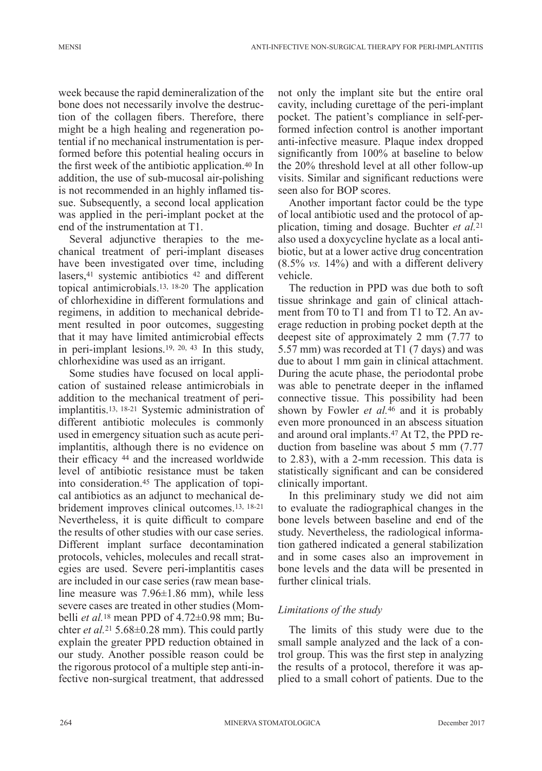week because the rapid demineralization of the bone does not necessarily involve the destruction of the collagen fibers. Therefore, there might be a high healing and regeneration potential if no mechanical instrumentation is performed before this potential healing occurs in the first week of the antibiotic application.<sup>40</sup> In addition, the use of sub-mucosal air-polishing is not recommended in an highly inflamed tissue. Subsequently, a second local application was applied in the peri-implant pocket at the end of the instrumentation at T1.

Several adjunctive therapies to the mechanical treatment of peri-implant diseases have been investigated over time, including lasers,<sup>41</sup> systemic antibiotics <sup>42</sup> and different topical antimicrobials.13, 18-20 The application of chlorhexidine in different formulations and regimens, in addition to mechanical debridement resulted in poor outcomes, suggesting that it may have limited antimicrobial effects in peri-implant lesions.19, 20, 43 In this study, chlorhexidine was used as an irrigant.

Some studies have focused on local application of sustained release antimicrobials in addition to the mechanical treatment of periimplantitis.13, 18-21 Systemic administration of different antibiotic molecules is commonly used in emergency situation such as acute periimplantitis, although there is no evidence on their efficacy 44 and the increased worldwide level of antibiotic resistance must be taken into consideration.45 The application of topical antibiotics as an adjunct to mechanical debridement improves clinical outcomes.13, 18-21 Nevertheless, it is quite difficult to compare the results of other studies with our case series. Different implant surface decontamination protocols, vehicles, molecules and recall strategies are used. Severe peri-implantitis cases are included in our case series (raw mean baseline measure was 7.96±1.86 mm), while less severe cases are treated in other studies (Mombelli *et al.*18 mean PPD of 4.72±0.98 mm; Buchter *et al.*21 5.68±0.28 mm). This could partly explain the greater PPD reduction obtained in our study. Another possible reason could be the rigorous protocol of a multiple step anti-infective non-surgical treatment, that addressed not only the implant site but the entire oral cavity, including curettage of the peri-implant pocket. The patient's compliance in self-performed infection control is another important anti-infective measure. Plaque index dropped significantly from 100% at baseline to below the 20% threshold level at all other follow-up visits. Similar and significant reductions were seen also for BOP scores.

Another important factor could be the type of local antibiotic used and the protocol of application, timing and dosage. Buchter *et al.*<sup>21</sup> also used a doxycycline hyclate as a local antibiotic, but at a lower active drug concentration (8.5% *vs.* 14%) and with a different delivery vehicle.

The reduction in PPD was due both to soft tissue shrinkage and gain of clinical attachment from T0 to T1 and from T1 to T2. An average reduction in probing pocket depth at the deepest site of approximately 2 mm (7.77 to 5.57 mm) was recorded at T1 (7 days) and was due to about 1 mm gain in clinical attachment. During the acute phase, the periodontal probe was able to penetrate deeper in the inflamed connective tissue. This possibility had been shown by Fowler *et al.*46 and it is probably even more pronounced in an abscess situation and around oral implants.47 At T2, the PPD reduction from baseline was about 5 mm (7.77 to 2.83), with a 2-mm recession. This data is statistically significant and can be considered clinically important.

In this preliminary study we did not aim to evaluate the radiographical changes in the bone levels between baseline and end of the study. Nevertheless, the radiological information gathered indicated a general stabilization and in some cases also an improvement in bone levels and the data will be presented in further clinical trials.

### *Limitations of the study*

The limits of this study were due to the small sample analyzed and the lack of a control group. This was the first step in analyzing the results of a protocol, therefore it was applied to a small cohort of patients. Due to the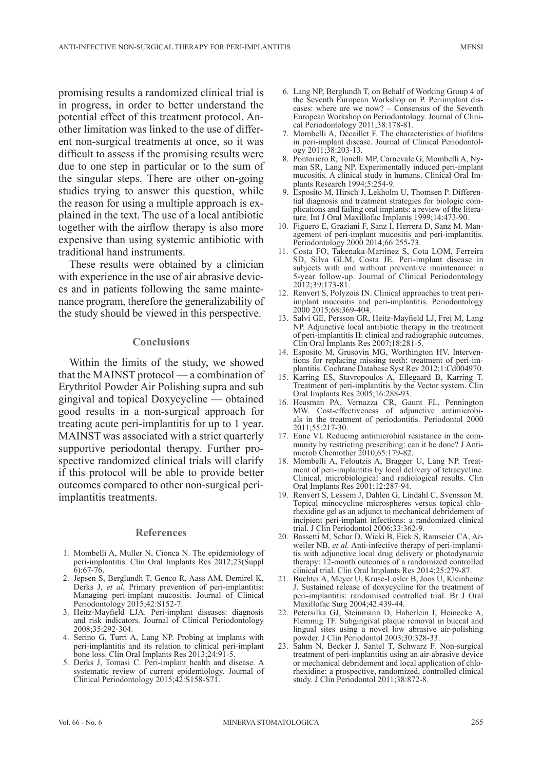promising results a randomized clinical trial is in progress, in order to better understand the potential effect of this treatment protocol. Another limitation was linked to the use of different non-surgical treatments at once, so it was difficult to assess if the promising results were due to one step in particular or to the sum of the singular steps. There are other on-going studies trying to answer this question, while the reason for using a multiple approach is explained in the text. The use of a local antibiotic together with the airflow therapy is also more expensive than using systemic antibiotic with traditional hand instruments.

These results were obtained by a clinician with experience in the use of air abrasive devices and in patients following the same maintenance program, therefore the generalizability of the study should be viewed in this perspective.

#### **Conclusions**

Within the limits of the study, we showed that the MAINST protocol — a combination of Erythritol Powder Air Polishing supra and sub gingival and topical Doxycycline — obtained good results in a non-surgical approach for treating acute peri-implantitis for up to 1 year. MAINST was associated with a strict quarterly supportive periodontal therapy. Further prospective randomized clinical trials will clarify if this protocol will be able to provide better outcomes compared to other non-surgical periimplantitis treatments.

#### **References**

- 1. Mombelli A, Muller N, Cionca N. The epidemiology of peri-implantitis. Clin Oral Implants Res 2012;23(Suppl 6):67-76.
- 2. Jepsen S, Berglundh T, Genco R, Aass AM, Demirel K, Derks J, *et al.* Primary prevention of peri-implantitis: Managing peri-implant mucositis. Journal of Clinical Periodontology 2015;42:S152-7.
- 3. Heitz-Mayfield LJA. Peri-implant diseases: diagnosis and risk indicators. Journal of Clinical Periodontology 2008;35:292-304.
- 4. Serino G, Turri A, Lang NP. Probing at implants with peri-implantitis and its relation to clinical peri-implant bone loss. Clin Oral Implants Res 2013;24:91-5.
- 5. Derks J, Tomasi C. Peri-implant health and disease. A systematic review of current epidemiology. Journal of Clinical Periodontology 2015;42:S158-S71.
- 6. Lang NP, Berglundh T, on Behalf of Working Group 4 of the Seventh European Workshop on P. Periimplant diseases: where are we now?  $-$  Consensus of the Seventh European Workshop on Periodontology. Journal of Clinical Periodontology 2011;38:178-81.
- 7. Mombelli A, Décaillet F. The characteristics of biofilms in peri-implant disease. Journal of Clinical Periodontology 2011;38:203-13.
- 8. Pontoriero R, Tonelli MP, Carnevale G, Mombelli A, Nyman SR, Lang NP. Experimentally induced peri-implant mucositis. A clinical study in humans. Clinical Oral Implants Research 1994;5:254-9.
- 9. Esposito M, Hirsch J, Lekholm U, Thomsen P. Differential diagnosis and treatment strategies for biologic complications and failing oral implants: a review of the literature. Int J Oral Maxillofac Implants 1999;14:473-90.
- 10. Figuero E, Graziani F, Sanz I, Herrera D, Sanz M. Management of peri-implant mucositis and peri-implantitis. Periodontology 2000 2014;66:255-73.
- 11. Costa FO, Takenaka-Martinez S, Cota LOM, Ferreira SD, Silva GLM, Costa JE. Peri-implant disease in subjects with and without preventive maintenance: a 5-year follow-up. Journal of Clinical Periodontology 2012;39:173-81.
- 12. Renvert S, Polyzois IN. Clinical approaches to treat periimplant mucositis and peri-implantitis. Periodontology 2000 2015;68:369-404.
- 13. Salvi GE, Persson GR, Heitz-Mayfield LJ, Frei M, Lang NP. Adjunctive local antibiotic therapy in the treatment of peri-implantitis II: clinical and radiographic outcomes. Clin Oral Implants Res 2007;18:281-5.
- 14. Esposito M, Grusovin MG, Worthington HV. Interventions for replacing missing teeth: treatment of peri-implantitis. Cochrane Database Syst Rev 2012;1:Cd004970.
- 15. Karring ES, Stavropoulos A, Ellegaard B, Karring T. Treatment of peri-implantitis by the Vector system. Clin Oral Implants Res 2005;16:288-93.
- 16. Heasman PA, Vernazza CR, Gaunt FL, Pennington MW. Cost-effectiveness of adjunctive antimicrobials in the treatment of periodontitis. Periodontol 2000 2011;55:217-30.
- 17. Enne VI. Reducing antimicrobial resistance in the community by restricting prescribing: can it be done? J Antimicrob Chemother 2010;65:179-82.
- 18. Mombelli A, Feloutzis A, Bragger U, Lang NP. Treatment of peri-implantitis by local delivery of tetracycline. Clinical, microbiological and radiological results. Clin Oral Implants Res 2001;12:287-94.
- 19. Renvert S, Lessem J, Dahlen G, Lindahl C, Svensson M. Topical minocycline microspheres versus topical chlorhexidine gel as an adjunct to mechanical debridement of incipient peri-implant infections: a randomized clinical trial. J Clin Periodontol 2006;33:362-9.
- 20. Bassetti M, Schar D, Wicki B, Eick S, Ramseier CA, Arweiler NB, *et al.* Anti-infective therapy of peri-implantitis with adjunctive local drug delivery or photodynamic therapy: 12-month outcomes of a randomized controlled clinical trial. Clin Oral Implants Res 2014;25:279-87.
- 21. Buchter A, Meyer U, Kruse-Losler B, Joos U, Kleinheinz J. Sustained release of doxycycline for the treatment of peri-implantitis: randomised controlled trial. Br J Oral Maxillofac Surg 2004;42:439-44.
- 22. Petersilka GJ, Steinmann D, Haberlein I, Heinecke A, Flemmig TF. Subgingival plaque removal in buccal and lingual sites using a novel low abrasive air-polishing powder. J Clin Periodontol 2003;30:328-33.
- 23. Sahm N, Becker J, Santel T, Schwarz F. Non-surgical treatment of peri-implantitis using an air-abrasive device or mechanical debridement and local application of chlorhexidine: a prospective, randomized, controlled clinical study. J Clin Periodontol 2011;38:872-8.